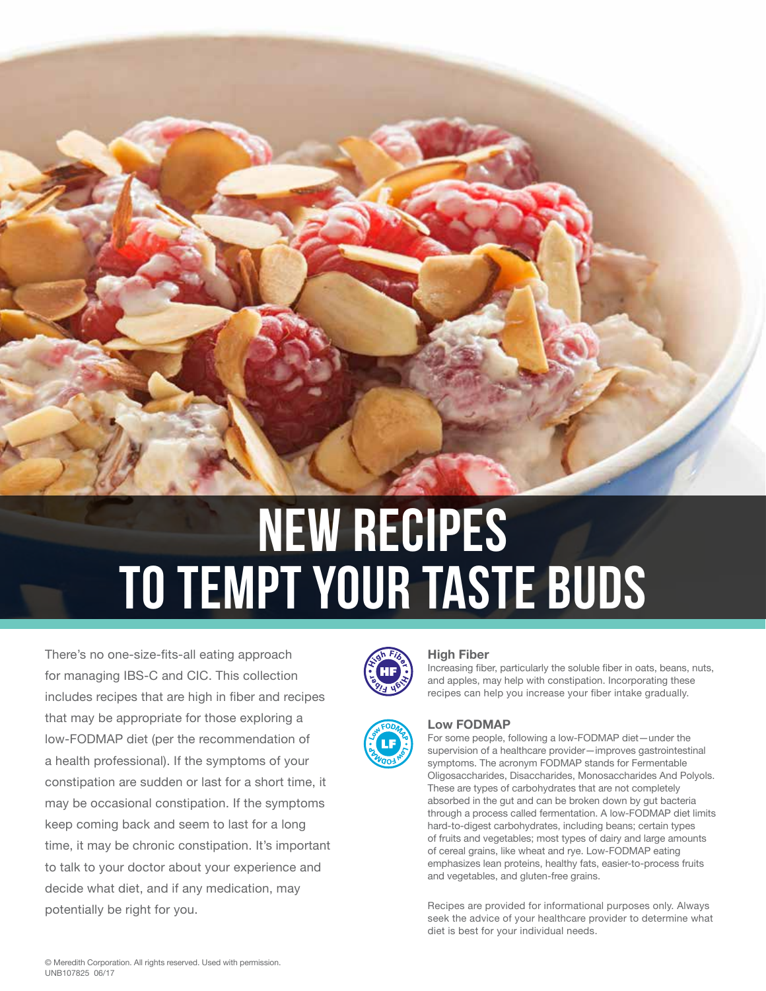# new recipes to tempt your taste buds

There's no one-size-fits-all eating approach for managing IBS-C and CIC. This collection includes recipes that are high in fiber and recipes that may be appropriate for those exploring a low-FODMAP diet (per the recommendation of a health professional). If the symptoms of your constipation are sudden or last for a short time, it may be occasional constipation. If the symptoms keep coming back and seem to last for a long time, it may be chronic constipation. It's important to talk to your doctor about your experience and decide what diet, and if any medication, may potentially be right for you.



Increasing fiber, particularly the soluble fiber in oats, beans, nuts, and apples, may help with constipation. Incorporating these recipes can help you increase your fiber intake gradually.



### **Low FODMAP**

For some people, following a low-FODMAP diet—under the supervision of a healthcare provider—improves gastrointestinal symptoms. The acronym FODMAP stands for Fermentable Oligosaccharides, Disaccharides, Monosaccharides And Polyols. These are types of carbohydrates that are not completely absorbed in the gut and can be broken down by gut bacteria through a process called fermentation. A low-FODMAP diet limits hard-to-digest carbohydrates, including beans; certain types of fruits and vegetables; most types of dairy and large amounts of cereal grains, like wheat and rye. Low-FODMAP eating emphasizes lean proteins, healthy fats, easier-to-process fruits and vegetables, and gluten-free grains.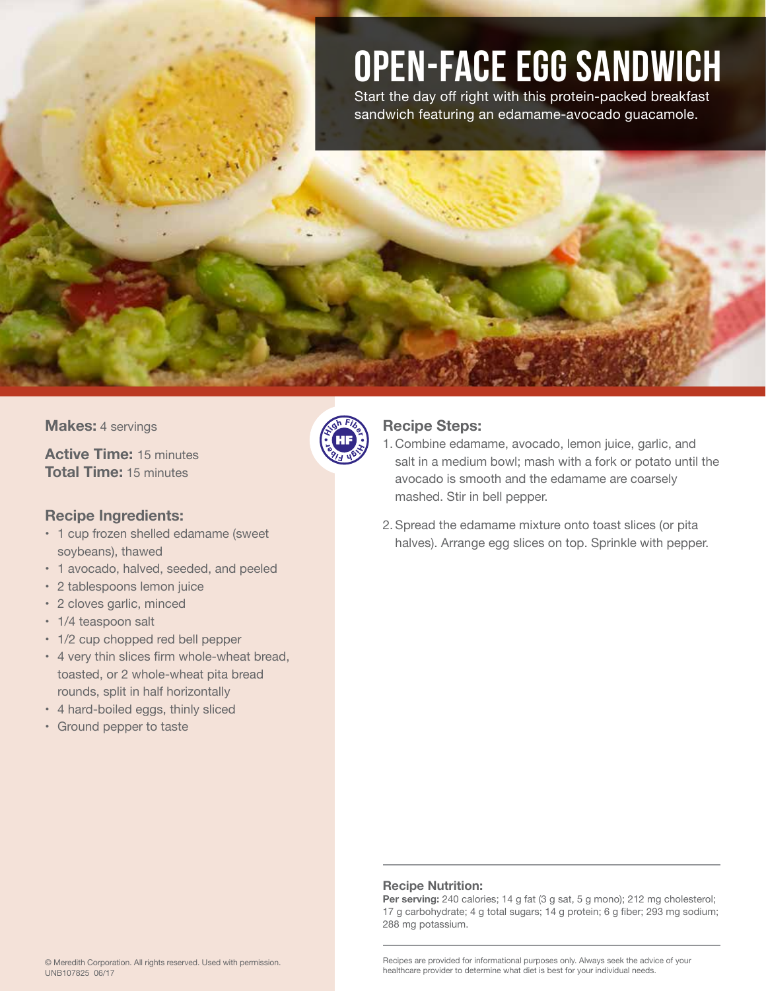### Open-Face Egg Sandwich

Start the day off right with this protein-packed breakfast sandwich featuring an edamame-avocado guacamole.

**Makes:** 4 servings

**Active Time:** 15 minutes **Total Time:** 15 minutes

### **Recipe Ingredients:**

- 1 cup frozen shelled edamame (sweet soybeans), thawed
- 1 avocado, halved, seeded, and peeled
- 2 tablespoons lemon juice
- 2 cloves garlic, minced
- 1/4 teaspoon salt
- 1/2 cup chopped red bell pepper
- 4 very thin slices firm whole-wheat bread, toasted, or 2 whole-wheat pita bread rounds, split in half horizontally
- 4 hard-boiled eggs, thinly sliced
- Ground pepper to taste



### **Recipe Steps:**

- 1. Combine edamame, avocado, lemon juice, garlic, and salt in a medium bowl; mash with a fork or potato until the avocado is smooth and the edamame are coarsely mashed. Stir in bell pepper.
- 2. Spread the edamame mixture onto toast slices (or pita halves). Arrange egg slices on top. Sprinkle with pepper.

### **Recipe Nutrition:**

Per serving: 240 calories; 14 g fat (3 g sat, 5 g mono); 212 mg cholesterol; 17 g carbohydrate; 4 g total sugars; 14 g protein; 6 g fiber; 293 mg sodium; 288 mg potassium.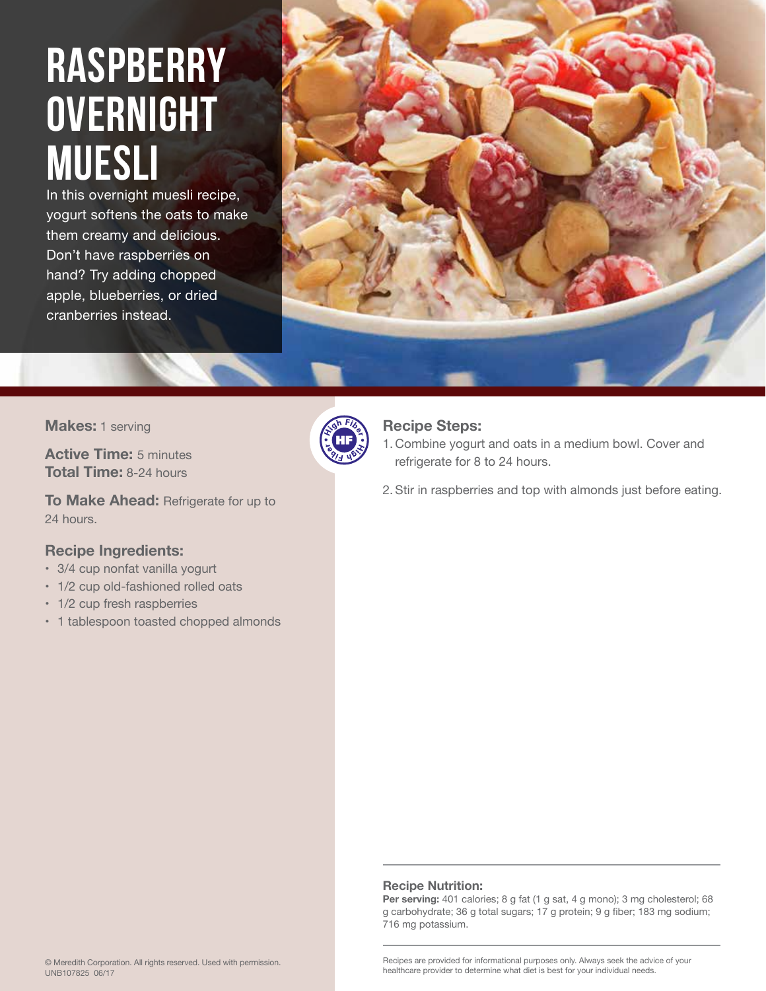### **RASPBERRY OVERNIGHT MUESLI**

In this overnight muesli recipe, yogurt softens the oats to make them creamy and delicious. Don't have raspberries on hand? Try adding chopped apple, blueberries, or dried cranberries instead.



**Makes:** 1 serving

**Active Time:** 5 minutes **Total Time:** 8-24 hours

**To Make Ahead:** Refrigerate for up to 24 hours.

### **Recipe Ingredients:**

- 3/4 cup nonfat vanilla yogurt
- 1/2 cup old-fashioned rolled oats
- 1/2 cup fresh raspberries
- 1 tablespoon toasted chopped almonds



### **Recipe Steps:**

- 1. Combine yogurt and oats in a medium bowl. Cover and refrigerate for 8 to 24 hours.
- 2. Stir in raspberries and top with almonds just before eating.

### **Recipe Nutrition:**

Per serving: 401 calories; 8 g fat (1 g sat, 4 g mono); 3 mg cholesterol; 68 g carbohydrate; 36 g total sugars; 17 g protein; 9 g fiber; 183 mg sodium; 716 mg potassium.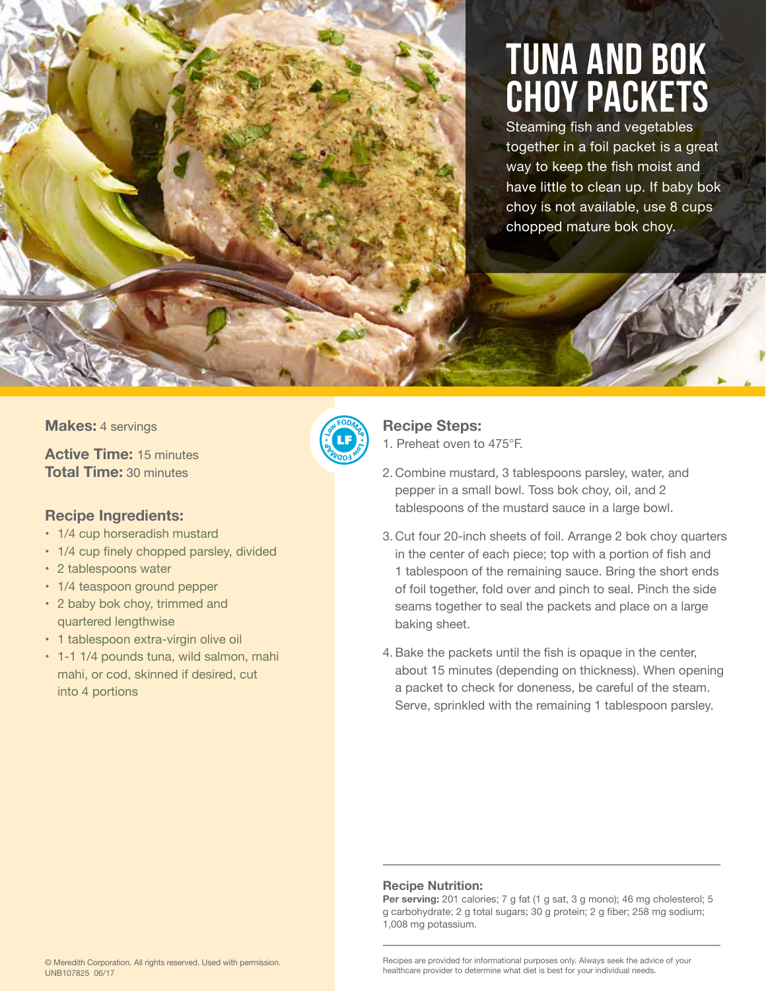### Tuna and Bok Choy Packets

Steaming fish and vegetables together in a foil packet is a great way to keep the fish moist and have little to clean up. If baby bok choy is not available, use 8 cups chopped mature bok choy.

### **Makes:** 4 servings

**Active Time:** 15 minutes **Total Time:** 30 minutes

### **Recipe Ingredients:**

- 1/4 cup horseradish mustard
- 1/4 cup finely chopped parsley, divided
- 2 tablespoons water
- 1/4 teaspoon ground pepper
- 2 baby bok choy, trimmed and quartered lengthwise
- 1 tablespoon extra-virgin olive oil
- 1-1 1/4 pounds tuna, wild salmon, mahi mahi, or cod, skinned if desired, cut into 4 portions



### **Recipe Steps:**

1. Preheat oven to 475°F.

- 2. Combine mustard, 3 tablespoons parsley, water, and pepper in a small bowl. Toss bok choy, oil, and 2 tablespoons of the mustard sauce in a large bowl.
- 3. Cut four 20-inch sheets of foil. Arrange 2 bok choy quarters in the center of each piece; top with a portion of fish and 1 tablespoon of the remaining sauce. Bring the short ends of foil together, fold over and pinch to seal. Pinch the side seams together to seal the packets and place on a large baking sheet.
- 4.Bake the packets until the fish is opaque in the center, about 15 minutes (depending on thickness). When opening a packet to check for doneness, be careful of the steam. Serve, sprinkled with the remaining 1 tablespoon parsley.

### **Recipe Nutrition:**

Per serving: 201 calories; 7 g fat (1 g sat, 3 g mono); 46 mg cholesterol; 5 g carbohydrate; 2 g total sugars; 30 g protein; 2 g fiber; 258 mg sodium; 1,008 mg potassium.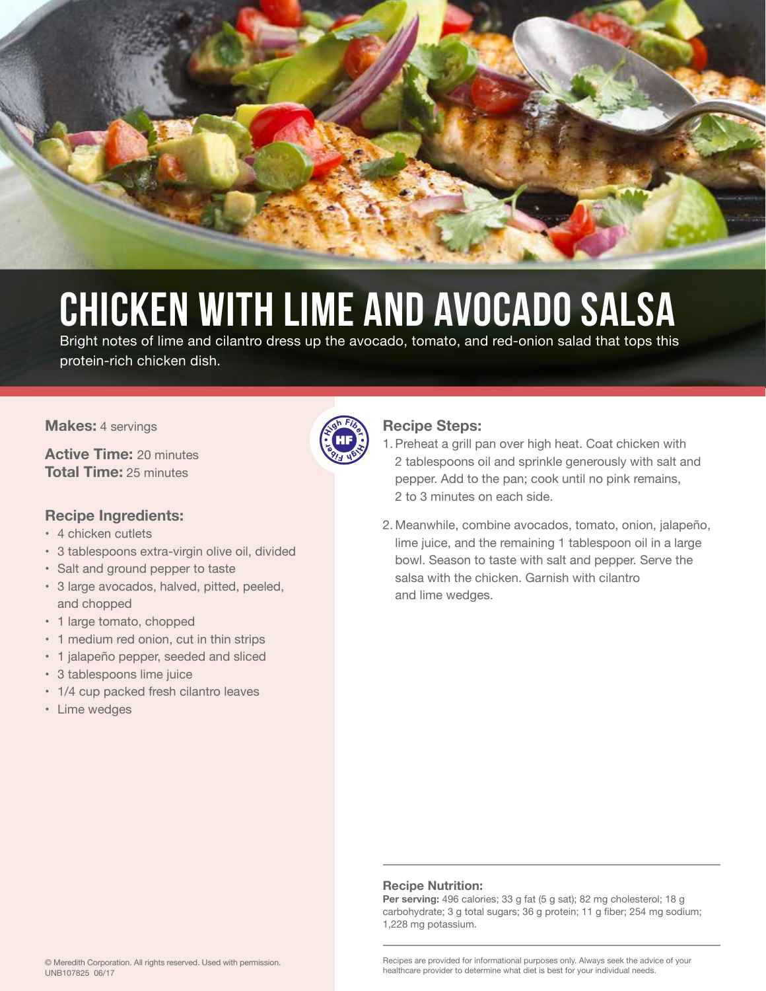

## Chicken with Lime and Avocado Salsa

Bright notes of lime and cilantro dress up the avocado, tomato, and red-onion salad that tops this protein-rich chicken dish.

### **Makes:** 4 servings

**Active Time:** 20 minutes **Total Time:** 25 minutes

### **Recipe Ingredients:**

- 4 chicken cutlets
- 3 tablespoons extra-virgin olive oil, divided
- Salt and ground pepper to taste
- 3 large avocados, halved, pitted, peeled, and chopped
- 1 large tomato, chopped
- 1 medium red onion, cut in thin strips
- 1 jalapeño pepper, seeded and sliced
- 3 tablespoons lime juice
- 1/4 cup packed fresh cilantro leaves
- Lime wedges



### **Recipe Steps:**

- 1. Preheat a grill pan over high heat. Coat chicken with 2 tablespoons oil and sprinkle generously with salt and pepper. Add to the pan; cook until no pink remains, 2 to 3 minutes on each side.
- 2. Meanwhile, combine avocados, tomato, onion, jalapeño, lime juice, and the remaining 1 tablespoon oil in a large bowl. Season to taste with salt and pepper. Serve the salsa with the chicken. Garnish with cilantro and lime wedges.

### **Recipe Nutrition:**

Per serving: 496 calories; 33 g fat (5 g sat); 82 mg cholesterol; 18 g carbohydrate; 3 g total sugars; 36 g protein; 11 g fiber; 254 mg sodium; 1,228 mg potassium.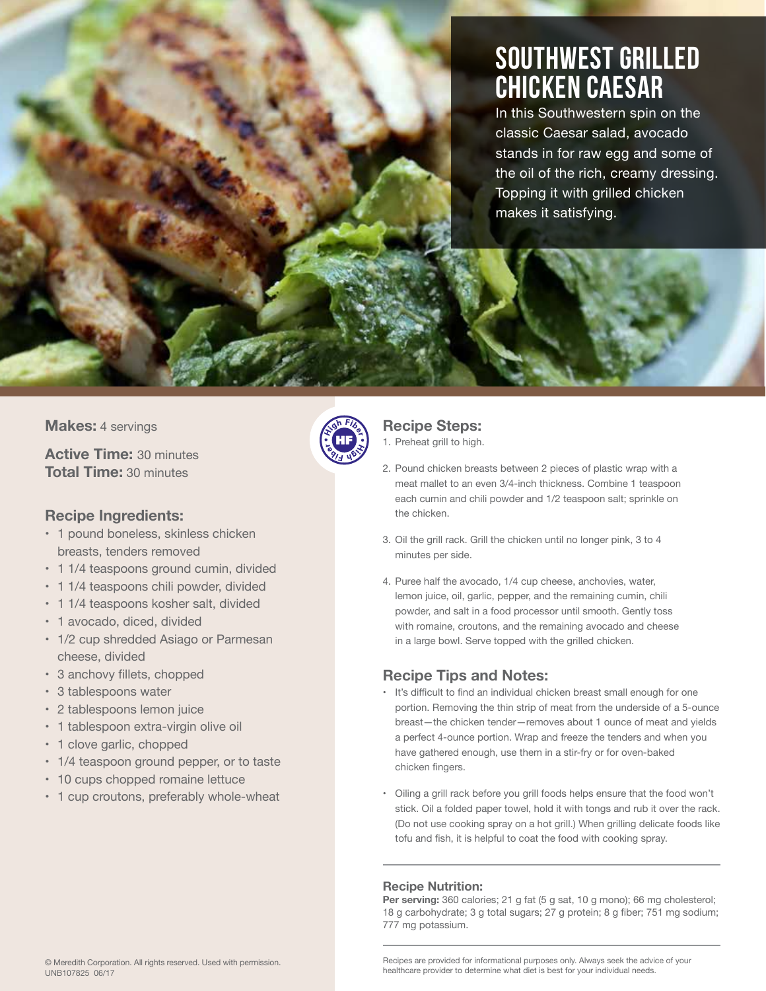### Southwest Grilled Chicken Caesar

In this Southwestern spin on the classic Caesar salad, avocado stands in for raw egg and some of the oil of the rich, creamy dressing. Topping it with grilled chicken makes it satisfying.

### **Makes:** 4 servings

**Active Time:** 30 minutes **Total Time:** 30 minutes

### **Recipe Ingredients:**

- 1 pound boneless, skinless chicken breasts, tenders removed
- 1 1/4 teaspoons ground cumin, divided
- 1 1/4 teaspoons chili powder, divided
- 1 1/4 teaspoons kosher salt, divided
- 1 avocado, diced, divided
- 1/2 cup shredded Asiago or Parmesan cheese, divided
- 3 anchovy fillets, chopped
- 3 tablespoons water
- 2 tablespoons lemon juice
- 1 tablespoon extra-virgin olive oil
- 1 clove garlic, chopped
- 1/4 teaspoon ground pepper, or to taste
- 10 cups chopped romaine lettuce
- 1 cup croutons, preferably whole-wheat



### **Recipe Steps:**

1. Preheat grill to high.

- 2. Pound chicken breasts between 2 pieces of plastic wrap with a meat mallet to an even 3/4-inch thickness. Combine 1 teaspoon each cumin and chili powder and 1/2 teaspoon salt; sprinkle on the chicken.
- 3. Oil the grill rack. Grill the chicken until no longer pink, 3 to 4 minutes per side.
- 4. Puree half the avocado, 1/4 cup cheese, anchovies, water, lemon juice, oil, garlic, pepper, and the remaining cumin, chili powder, and salt in a food processor until smooth. Gently toss with romaine, croutons, and the remaining avocado and cheese in a large bowl. Serve topped with the grilled chicken.

### **Recipe Tips and Notes:**

- It's difficult to find an individual chicken breast small enough for one portion. Removing the thin strip of meat from the underside of a 5-ounce breast—the chicken tender—removes about 1 ounce of meat and yields a perfect 4-ounce portion. Wrap and freeze the tenders and when you have gathered enough, use them in a stir-fry or for oven-baked chicken fingers.
- Oiling a grill rack before you grill foods helps ensure that the food won't stick. Oil a folded paper towel, hold it with tongs and rub it over the rack. (Do not use cooking spray on a hot grill.) When grilling delicate foods like tofu and fish, it is helpful to coat the food with cooking spray.

### **Recipe Nutrition:**

Per serving: 360 calories; 21 g fat (5 g sat, 10 g mono); 66 mg cholesterol; 18 g carbohydrate; 3 g total sugars; 27 g protein; 8 g fiber; 751 mg sodium; 777 mg potassium.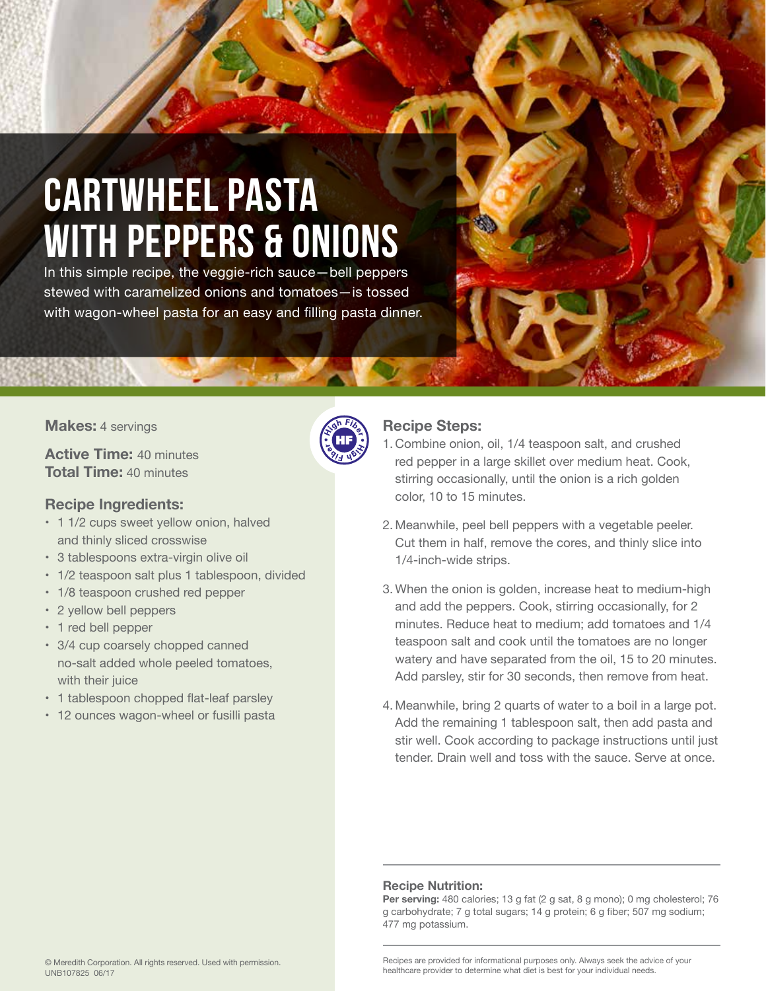### Cartwheel Pasta with Peppers & Onions

In this simple recipe, the veggie-rich sauce—bell peppers stewed with caramelized onions and tomatoes—is tossed with wagon-wheel pasta for an easy and filling pasta dinner.

### **Makes:** 4 servings

**Active Time:** 40 minutes **Total Time:** 40 minutes

### **Recipe Ingredients:**

- 1 1/2 cups sweet yellow onion, halved and thinly sliced crosswise
- 3 tablespoons extra-virgin olive oil
- 1/2 teaspoon salt plus 1 tablespoon, divided
- 1/8 teaspoon crushed red pepper
- 2 yellow bell peppers
- 1 red bell pepper
- 3/4 cup coarsely chopped canned no-salt added whole peeled tomatoes, with their juice
- 1 tablespoon chopped flat-leaf parsley
- 12 ounces wagon-wheel or fusilli pasta

|  | ैं।हे |  |
|--|-------|--|
|  |       |  |
|  |       |  |

### **Recipe Steps:**

- 1. Combine onion, oil, 1/4 teaspoon salt, and crushed red pepper in a large skillet over medium heat. Cook, stirring occasionally, until the onion is a rich golden color, 10 to 15 minutes.
- 2. Meanwhile, peel bell peppers with a vegetable peeler. Cut them in half, remove the cores, and thinly slice into 1/4-inch-wide strips.
- 3. When the onion is golden, increase heat to medium-high and add the peppers. Cook, stirring occasionally, for 2 minutes. Reduce heat to medium; add tomatoes and 1/4 teaspoon salt and cook until the tomatoes are no longer watery and have separated from the oil, 15 to 20 minutes. Add parsley, stir for 30 seconds, then remove from heat.
- 4. Meanwhile, bring 2 quarts of water to a boil in a large pot. Add the remaining 1 tablespoon salt, then add pasta and stir well. Cook according to package instructions until just tender. Drain well and toss with the sauce. Serve at once.

### **Recipe Nutrition:**

Per serving: 480 calories; 13 g fat (2 g sat, 8 g mono); 0 mg cholesterol; 76 g carbohydrate; 7 g total sugars; 14 g protein; 6 g fiber; 507 mg sodium; 477 mg potassium.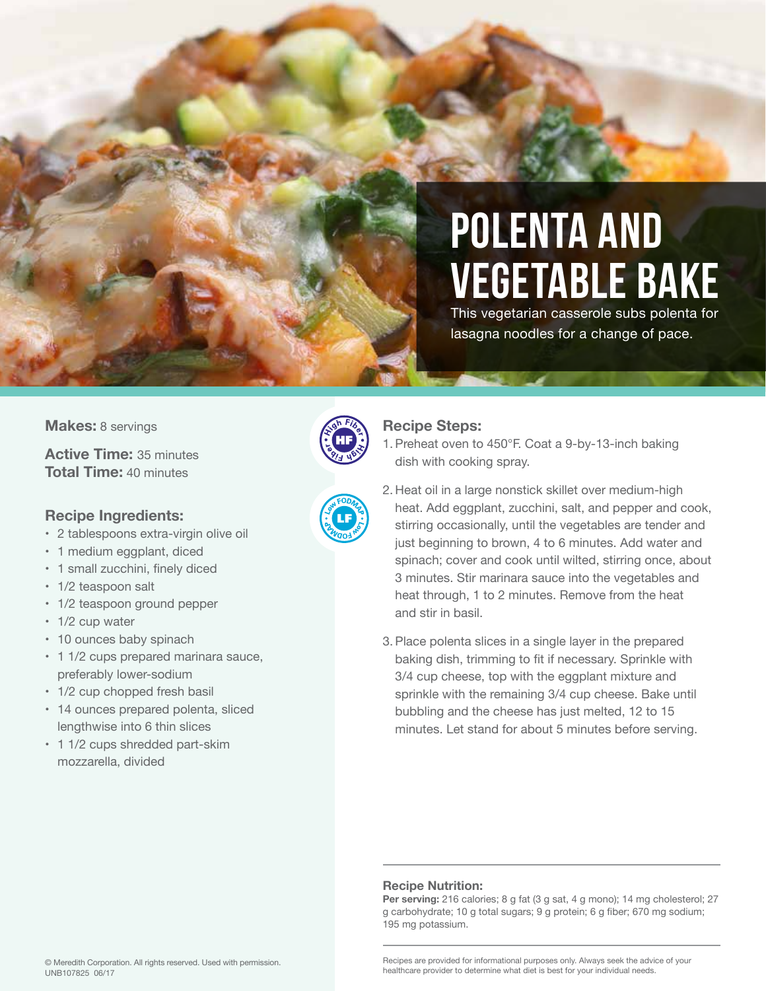### Polenta and Vegetable Bake

This vegetarian casserole subs polenta for lasagna noodles for a change of pace.

### **Makes:** 8 servings

**Active Time:** 35 minutes **Total Time:** 40 minutes

### **Recipe Ingredients:**

- 2 tablespoons extra-virgin olive oil
- 1 medium eggplant, diced
- 1 small zucchini, finely diced
- 1/2 teaspoon salt
- 1/2 teaspoon ground pepper
- 1/2 cup water
- 10 ounces baby spinach
- 1 1/2 cups prepared marinara sauce, preferably lower-sodium
- 1/2 cup chopped fresh basil
- 14 ounces prepared polenta, sliced lengthwise into 6 thin slices
- 1 1/2 cups shredded part-skim mozzarella, divided





### **Recipe Steps:**

- 1. Preheat oven to 450°F. Coat a 9-by-13-inch baking dish with cooking spray.
- 2. Heat oil in a large nonstick skillet over medium-high heat. Add eggplant, zucchini, salt, and pepper and cook, stirring occasionally, until the vegetables are tender and just beginning to brown, 4 to 6 minutes. Add water and spinach; cover and cook until wilted, stirring once, about 3 minutes. Stir marinara sauce into the vegetables and heat through, 1 to 2 minutes. Remove from the heat and stir in basil.
- 3. Place polenta slices in a single layer in the prepared baking dish, trimming to fit if necessary. Sprinkle with 3/4 cup cheese, top with the eggplant mixture and sprinkle with the remaining 3/4 cup cheese. Bake until bubbling and the cheese has just melted, 12 to 15 minutes. Let stand for about 5 minutes before serving.

### **Recipe Nutrition:**

Per serving: 216 calories; 8 g fat (3 g sat, 4 g mono); 14 mg cholesterol; 27 g carbohydrate; 10 g total sugars; 9 g protein; 6 g fiber; 670 mg sodium; 195 mg potassium.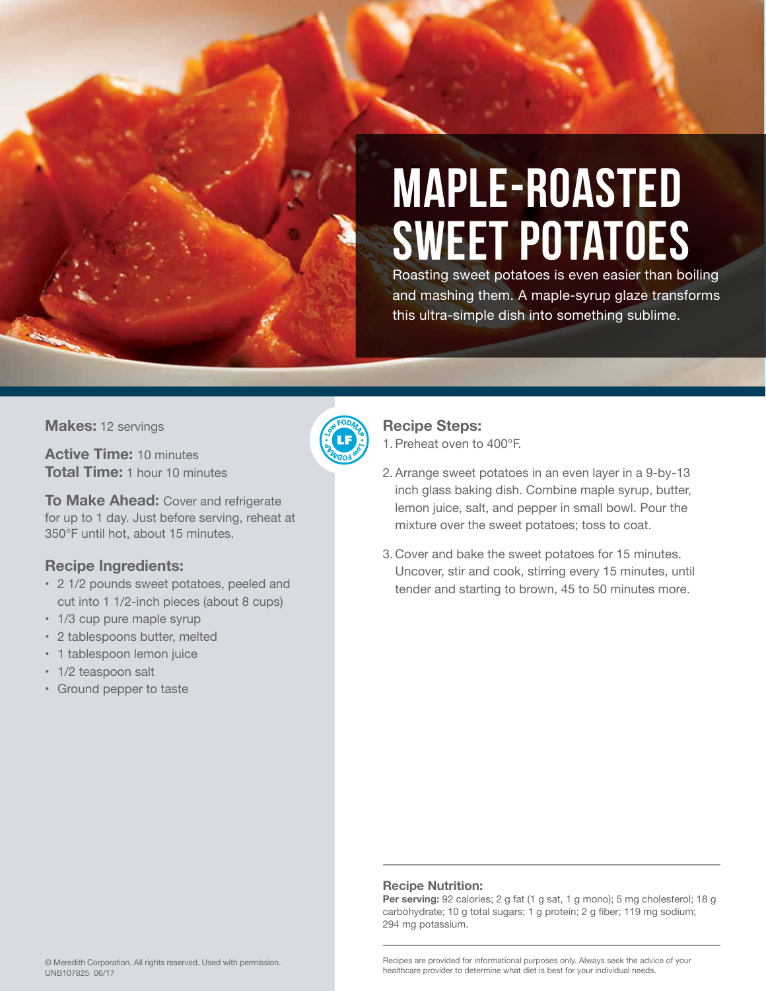

# Maple-Roasted Sweet Potatoes

Roasting sweet potatoes is even easier than boiling and mashing them. A maple-syrup glaze transforms this ultra-simple dish into something sublime.

**Makes:** 12 servings

**Active Time:** 10 minutes **Total Time:** 1 hour 10 minutes

**To Make Ahead:** Cover and refrigerate for up to 1 day. Just before serving, reheat at 350°F until hot, about 15 minutes.

### **Recipe Ingredients:**

- 2 1/2 pounds sweet potatoes, peeled and cut into 1 1/2-inch pieces (about 8 cups)
- 1/3 cup pure maple syrup
- 2 tablespoons butter, melted
- 1 tablespoon lemon juice
- 1/2 teaspoon salt
- Ground pepper to taste



### **Recipe Steps:**

1. Preheat oven to 400°F.

- 2. Arrange sweet potatoes in an even layer in a 9-by-13 inch glass baking dish. Combine maple syrup, butter, lemon juice, salt, and pepper in small bowl. Pour the mixture over the sweet potatoes; toss to coat.
- 3. Cover and bake the sweet potatoes for 15 minutes. Uncover, stir and cook, stirring every 15 minutes, until tender and starting to brown, 45 to 50 minutes more.

### **Recipe Nutrition:**

Per serving: 92 calories; 2 g fat (1 g sat, 1 g mono); 5 mg cholesterol; 18 g carbohydrate; 10 g total sugars; 1 g protein; 2 g fiber; 119 mg sodium; 294 mg potassium.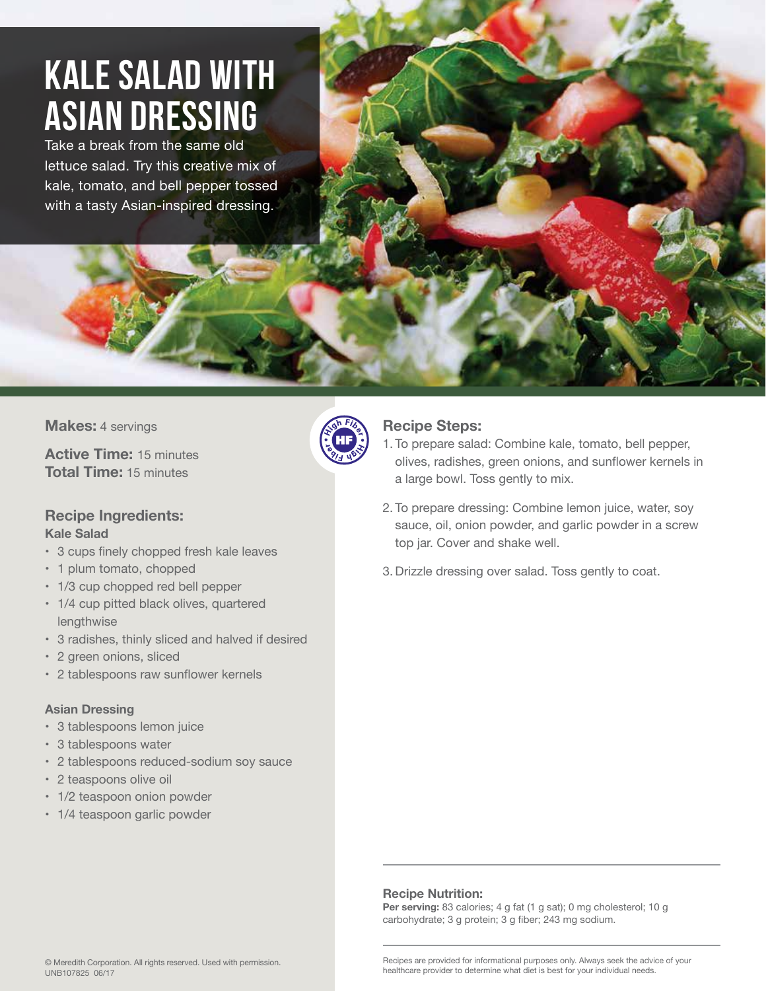### Kale Salad with Asian Dressing

Take a break from the same old lettuce salad. Try this creative mix of kale, tomato, and bell pepper tossed with a tasty Asian-inspired dressing.

**Makes:** 4 servings

**Active Time:** 15 minutes **Total Time:** 15 minutes

### **Recipe Ingredients: Kale Salad**

- 3 cups finely chopped fresh kale leaves
- 1 plum tomato, chopped
- 1/3 cup chopped red bell pepper
- 1/4 cup pitted black olives, quartered lengthwise
- 3 radishes, thinly sliced and halved if desired
- 2 green onions, sliced
- 2 tablespoons raw sunflower kernels

### **Asian Dressing**

- 3 tablespoons lemon juice
- 3 tablespoons water
- 2 tablespoons reduced-sodium soy sauce
- 2 teaspoons olive oil
- 1/2 teaspoon onion powder
- 1/4 teaspoon garlic powder



### **Recipe Steps:**

- 1. To prepare salad: Combine kale, tomato, bell pepper, olives, radishes, green onions, and sunflower kernels in a large bowl. Toss gently to mix.
- 2. To prepare dressing: Combine lemon juice, water, soy sauce, oil, onion powder, and garlic powder in a screw top jar. Cover and shake well.
- 3. Drizzle dressing over salad. Toss gently to coat.

### **Recipe Nutrition:**

Per serving: 83 calories; 4 g fat (1 g sat); 0 mg cholesterol; 10 g carbohydrate; 3 g protein; 3 g fiber; 243 mg sodium.